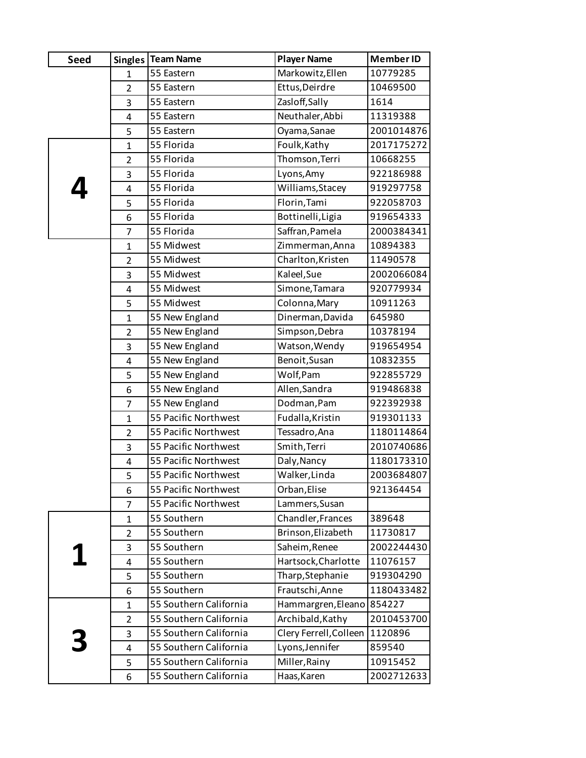| <b>Seed</b> |                | Singles   Team Name    | <b>Player Name</b>     | Member ID  |
|-------------|----------------|------------------------|------------------------|------------|
|             | 1              | 55 Eastern             | Markowitz, Ellen       | 10779285   |
|             | $\overline{2}$ | 55 Eastern             | Ettus, Deirdre         | 10469500   |
|             | 3              | 55 Eastern             | Zasloff, Sally         | 1614       |
|             | 4              | 55 Eastern             | Neuthaler, Abbi        | 11319388   |
|             | 5              | 55 Eastern             | Oyama, Sanae           | 2001014876 |
|             | $\mathbf{1}$   | 55 Florida             | Foulk, Kathy           | 2017175272 |
|             | $\overline{2}$ | 55 Florida             | Thomson, Terri         | 10668255   |
|             | 3              | 55 Florida             | Lyons, Amy             | 922186988  |
|             | 4              | 55 Florida             | Williams, Stacey       | 919297758  |
|             | 5              | 55 Florida             | Florin, Tami           | 922058703  |
|             | 6              | 55 Florida             | Bottinelli, Ligia      | 919654333  |
|             | $\overline{7}$ | 55 Florida             | Saffran, Pamela        | 2000384341 |
|             | $\mathbf{1}$   | 55 Midwest             | Zimmerman, Anna        | 10894383   |
|             | $\overline{2}$ | 55 Midwest             | Charlton, Kristen      | 11490578   |
|             | 3              | 55 Midwest             | Kaleel, Sue            | 2002066084 |
|             | 4              | 55 Midwest             | Simone, Tamara         | 920779934  |
|             | 5              | 55 Midwest             | Colonna, Mary          | 10911263   |
|             | $\mathbf{1}$   | 55 New England         | Dinerman, Davida       | 645980     |
|             | $\overline{2}$ | 55 New England         | Simpson, Debra         | 10378194   |
|             | 3              | 55 New England         | Watson, Wendy          | 919654954  |
|             | 4              | 55 New England         | Benoit, Susan          | 10832355   |
|             | 5              | 55 New England         | Wolf, Pam              | 922855729  |
|             | 6              | 55 New England         | Allen, Sandra          | 919486838  |
|             | 7              | 55 New England         | Dodman, Pam            | 922392938  |
|             | $\mathbf{1}$   | 55 Pacific Northwest   | Fudalla, Kristin       | 919301133  |
|             | $\overline{2}$ | 55 Pacific Northwest   | Tessadro, Ana          | 1180114864 |
|             | 3              | 55 Pacific Northwest   | Smith, Terri           | 2010740686 |
|             | 4              | 55 Pacific Northwest   | Daly, Nancy            | 1180173310 |
|             | 5              | 55 Pacific Northwest   | Walker, Linda          | 2003684807 |
|             | 6              | 55 Pacific Northwest   | Orban, Elise           | 921364454  |
|             | 7              | 55 Pacific Northwest   | Lammers, Susan         |            |
|             | 1              | 55 Southern            | Chandler, Frances      | 389648     |
|             | $\overline{2}$ | 55 Southern            | Brinson, Elizabeth     | 11730817   |
|             | 3              | 55 Southern            | Saheim, Renee          | 2002244430 |
|             | 4              | 55 Southern            | Hartsock, Charlotte    | 11076157   |
|             | 5              | 55 Southern            | Tharp, Stephanie       | 919304290  |
|             | 6              | 55 Southern            | Frautschi, Anne        | 1180433482 |
|             | 1              | 55 Southern California | Hammargren, Eleano     | 854227     |
|             | $\overline{2}$ | 55 Southern California | Archibald, Kathy       | 2010453700 |
|             | 3              | 55 Southern California | Clery Ferrell, Colleen | 1120896    |
|             | 4              | 55 Southern California | Lyons, Jennifer        | 859540     |
|             | 5              | 55 Southern California | Miller, Rainy          | 10915452   |
|             | 6              | 55 Southern California | Haas, Karen            | 2002712633 |